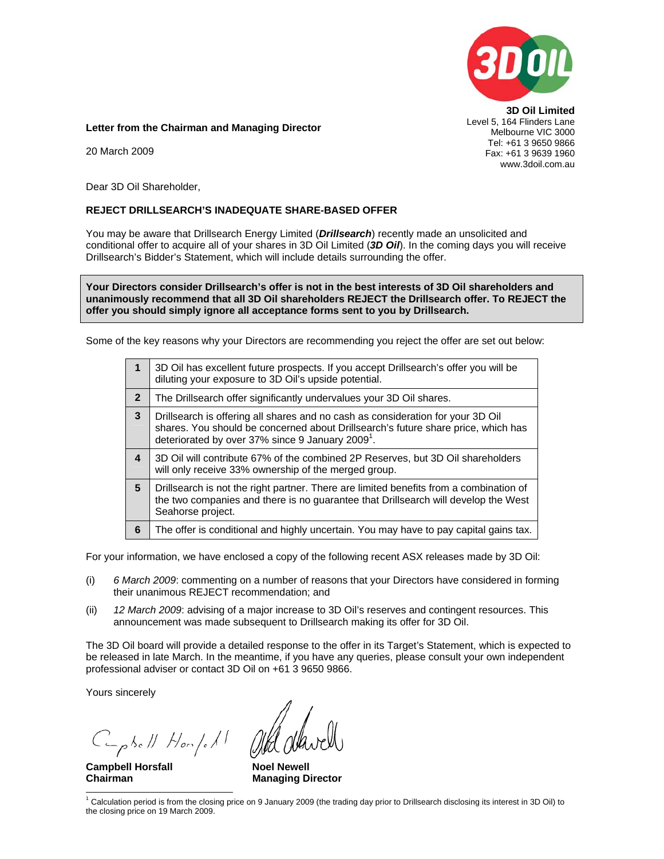

**3D Oil Limited**  Level 5, 164 Flinders Lane Melbourne VIC 3000 Tel: +61 3 9650 9866 Fax: +61 3 9639 1960 www.3doil.com.au

**Letter from the Chairman and Managing Director** 

20 March 2009

Dear 3D Oil Shareholder,

### **REJECT DRILLSEARCH'S INADEQUATE SHARE-BASED OFFER**

You may be aware that Drillsearch Energy Limited (*Drillsearch*) recently made an unsolicited and conditional offer to acquire all of your shares in 3D Oil Limited (*3D Oil*). In the coming days you will receive Drillsearch's Bidder's Statement, which will include details surrounding the offer.

**Your Directors consider Drillsearch's offer is not in the best interests of 3D Oil shareholders and unanimously recommend that all 3D Oil shareholders REJECT the Drillsearch offer. To REJECT the offer you should simply ignore all acceptance forms sent to you by Drillsearch.** 

Some of the key reasons why your Directors are recommending you reject the offer are set out below:

| 1              | 3D Oil has excellent future prospects. If you accept Drillsearch's offer you will be<br>diluting your exposure to 3D Oil's upside potential.                                                                                         |  |  |
|----------------|--------------------------------------------------------------------------------------------------------------------------------------------------------------------------------------------------------------------------------------|--|--|
| $\overline{2}$ | The Drillsearch offer significantly undervalues your 3D Oil shares.                                                                                                                                                                  |  |  |
| 3              | Drillsearch is offering all shares and no cash as consideration for your 3D Oil<br>shares. You should be concerned about Drillsearch's future share price, which has<br>deteriorated by over 37% since 9 January 2009 <sup>1</sup> . |  |  |
| 4              | 3D Oil will contribute 67% of the combined 2P Reserves, but 3D Oil shareholders<br>will only receive 33% ownership of the merged group.                                                                                              |  |  |
| 5              | Drillsearch is not the right partner. There are limited benefits from a combination of<br>the two companies and there is no guarantee that Drillsearch will develop the West<br>Seahorse project.                                    |  |  |
| 6              | The offer is conditional and highly uncertain. You may have to pay capital gains tax.                                                                                                                                                |  |  |

For your information, we have enclosed a copy of the following recent ASX releases made by 3D Oil:

- (i) *6 March 2009*: commenting on a number of reasons that your Directors have considered in forming their unanimous REJECT recommendation; and
- (ii) *12 March 2009*: advising of a major increase to 3D Oil's reserves and contingent resources. This announcement was made subsequent to Drillsearch making its offer for 3D Oil.

The 3D Oil board will provide a detailed response to the offer in its Target's Statement, which is expected to be released in late March. In the meantime, if you have any queries, please consult your own independent professional adviser or contact 3D Oil on +61 3 9650 9866.

Yours sincerely

Caphell Hompell

**Campbell Horsfall <b>Noel Newell Noel Newell** 

**Chairman Managing Director Managing Director** 

 1 Calculation period is from the closing price on 9 January 2009 (the trading day prior to Drillsearch disclosing its interest in 3D Oil) to the closing price on 19 March 2009.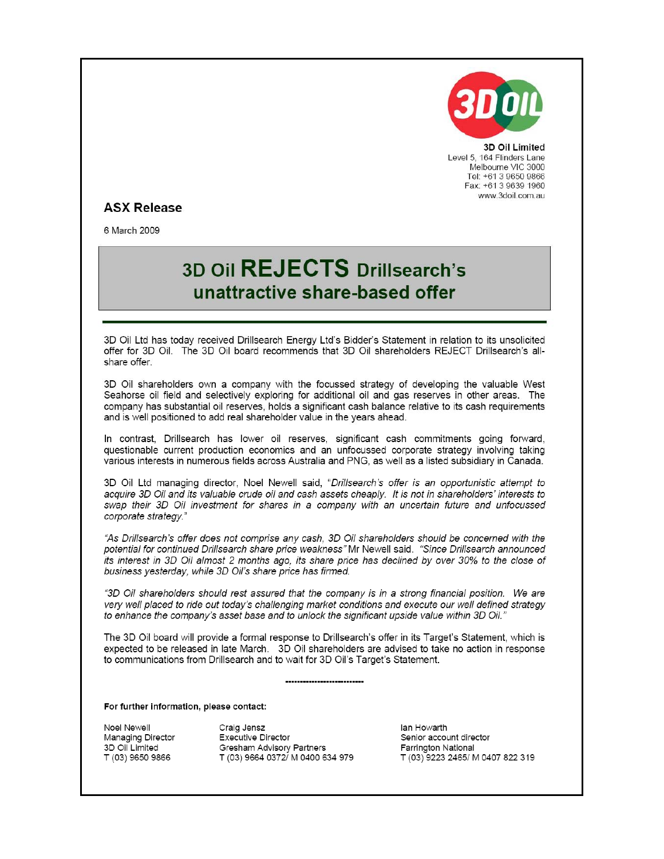

3D Oil Limited Level 5, 164 Flinders Lane Melbourne VIC 3000 Tel: +61 3 9650 9866 Fax: +61 3 9639 1960 www.3doil.com.au

## **ASX Release**

6 March 2009

# 3D Oil REJECTS Drillsearch's unattractive share-based offer

3D Oil Ltd has today received Drillsearch Energy Ltd's Bidder's Statement in relation to its unsolicited offer for 3D Oil. The 3D Oil board recommends that 3D Oil shareholders REJECT Drillsearch's allshare offer.

3D Oil shareholders own a company with the focussed strategy of developing the valuable West Seahorse oil field and selectively exploring for additional oil and gas reserves in other areas. The company has substantial oil reserves, holds a significant cash balance relative to its cash requirements and is well positioned to add real shareholder value in the years ahead.

In contrast. Drillsearch has lower oil reserves, significant cash commitments going forward. questionable current production economics and an unfocussed corporate strategy involving taking various interests in numerous fields across Australia and PNG, as well as a listed subsidiary in Canada.

3D Oil Ltd managing director, Noel Newell said, "Drillsearch's offer is an opportunistic attempt to acquire 3D Oil and its valuable crude oil and cash assets cheaply. It is not in shareholders' interests to swap their 3D Oil investment for shares in a company with an uncertain future and unfocussed corporate strategy."

"As Drillsearch's offer does not comprise any cash, 3D Oil shareholders should be concerned with the potential for continued Drillsearch share price weakness" Mr Newell said. "Since Drillsearch announced its interest in 3D Oil almost 2 months ago, its share price has declined by over 30% to the close of business yesterday, while 3D Oil's share price has firmed.

"3D Oil shareholders should rest assured that the company is in a strong financial position. We are very well placed to ride out today's challenging market conditions and execute our well defined strategy to enhance the company's asset base and to unlock the significant upside value within 3D Oil.'

The 3D Oil board will provide a formal response to Drillsearch's offer in its Target's Statement, which is expected to be released in late March. 3D Oil shareholders are advised to take no action in response to communications from Drillsearch and to wait for 3D Oil's Target's Statement.

For further information, please contact:

Noel Newell Managing Director 3D Oil Limited T (03) 9650 9866

Craig Jensz **Executive Director Gresham Advisory Partners** T (03) 9664 0372/ M 0400 634 979

lan Howarth Senior account director Farrington National T (03) 9223 2465/ M 0407 822 319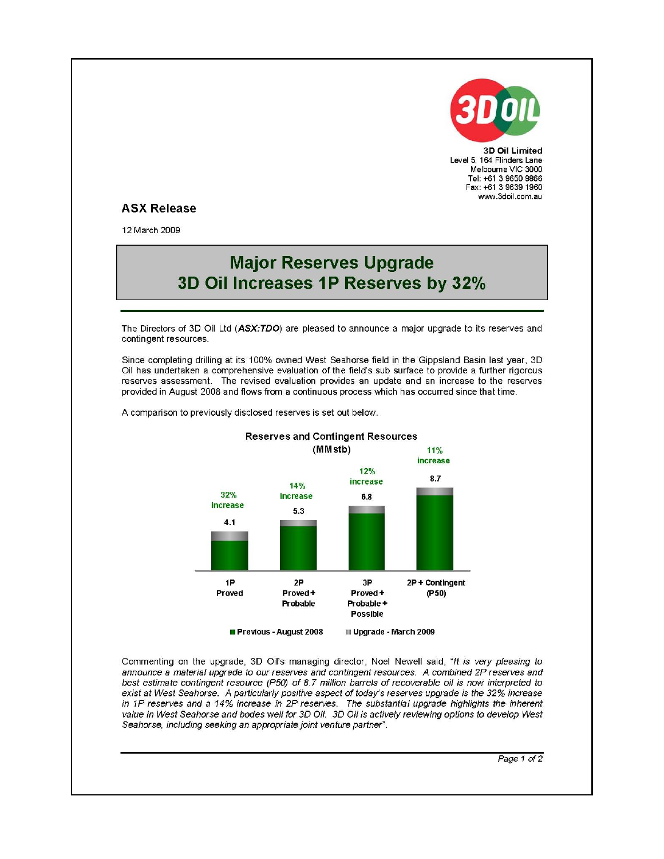

3D Oil Limited Level 5, 164 Flinders Lane Melbourne VIC 3000 Tel: +61 3 9650 9866 Fax: +61 3 9639 1960 www.3doil.com.au

### **ASX Release**

12 March 2009

## **Major Reserves Upgrade** 3D Oil Increases 1P Reserves by 32%

The Directors of 3D Oil Ltd (ASX:TDO) are pleased to announce a major upgrade to its reserves and contingent resources.

Since completing drilling at its 100% owned West Seahorse field in the Gippsland Basin last year, 3D Oil has undertaken a comprehensive evaluation of the field's sub surface to provide a further rigorous reserves assessment. The revised evaluation provides an update and an increase to the reserves provided in August 2008 and flows from a continuous process which has occurred since that time.

A comparison to previously disclosed reserves is set out below.



Commenting on the upgrade, 3D Oil's managing director, Noel Newell said, "It is very pleasing to announce a material upgrade to our reserves and contingent resources. A combined 2P reserves and best estimate contingent resource (P50) of 8.7 million barrels of recoverable oil is now interpreted to exist at West Seahorse. A particularly positive aspect of today's reserves upgrade is the 32% increase in 1P reserves and a 14% increase in 2P reserves. The substantial upgrade highlights the inherent value in West Seahorse and bodes well for 3D Oil. 3D Oil is actively reviewing options to develop West Seahorse, including seeking an appropriate joint venture partner".

Page 1 of 2